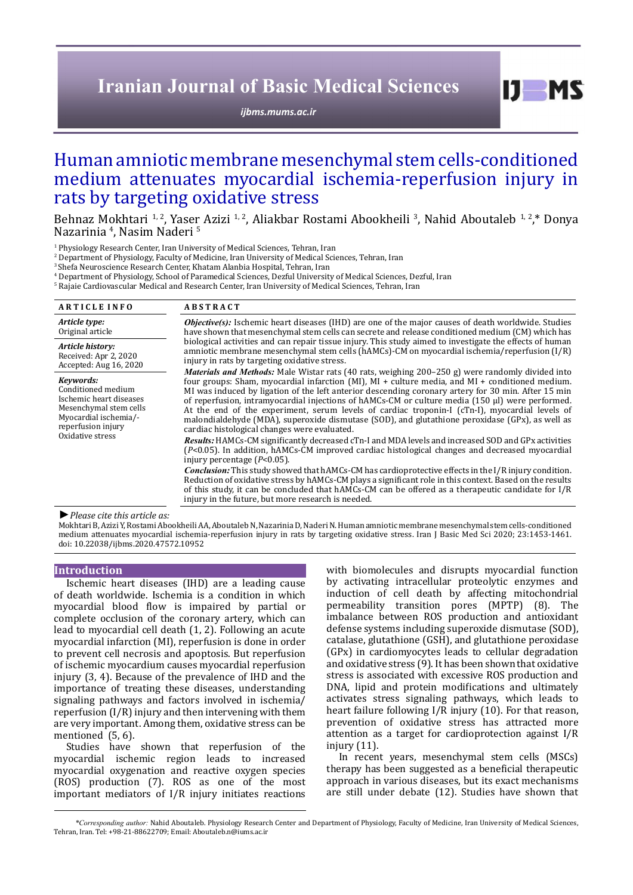# **Iranian Journal of Basic Medical Sciences**

*[ijbms.mums.ac.ir](http://ijbms.mums.ac.ir)*

 $I$   $I$   $M$   $S$ 

# Human amniotic membrane mesenchymal stem cells-conditioned medium attenuates myocardial ischemia-reperfusion injury in rats by targeting oxidative stress

Behnaz Mokhtari <sup>1, 2</sup>, Yaser Azizi <sup>1, 2</sup>, Aliakbar Rostami Abookheili <sup>3</sup>, Nahid Aboutaleb <sup>1, 2</sup>,\* Donya Nazarinia <sup>4</sup>, Nasim Naderi <sup>5</sup>

<sup>1</sup> Physiology Research Center, Iran University of Medical Sciences, Tehran, Iran

2 Department of Physiology, Faculty of Medicine, Iran University of Medical Sciences, Tehran, Iran

3 Shefa Neuroscience Research Center, Khatam Alanbia Hospital, Tehran, Iran

4 Department of Physiology, School of Paramedical Sciences, Dezful University of Medical Sciences, Dezful, Iran

5 Rajaie Cardiovascular Medical and Research Center, Iran University of Medical Sciences, Tehran, Iran

| <b>ARTICLE INFO</b>                                                                                                                                     | <b>ABSTRACT</b>                                                                                                                                                                                                                                                                                                                                                                                                                                                                                                                                                                                                                                                                                                                                                                                                                                                                                                                                                                                                                                                                                                                                                                                                                                                                                                                                                                                                                                                                                                                                                                                                                                                                                                                          |
|---------------------------------------------------------------------------------------------------------------------------------------------------------|------------------------------------------------------------------------------------------------------------------------------------------------------------------------------------------------------------------------------------------------------------------------------------------------------------------------------------------------------------------------------------------------------------------------------------------------------------------------------------------------------------------------------------------------------------------------------------------------------------------------------------------------------------------------------------------------------------------------------------------------------------------------------------------------------------------------------------------------------------------------------------------------------------------------------------------------------------------------------------------------------------------------------------------------------------------------------------------------------------------------------------------------------------------------------------------------------------------------------------------------------------------------------------------------------------------------------------------------------------------------------------------------------------------------------------------------------------------------------------------------------------------------------------------------------------------------------------------------------------------------------------------------------------------------------------------------------------------------------------------|
| Article type:<br>Original article                                                                                                                       | Objective(s): Ischemic heart diseases (IHD) are one of the major causes of death worldwide. Studies<br>have shown that mesenchymal stem cells can secrete and release conditioned medium (CM) which has<br>biological activities and can repair tissue injury. This study aimed to investigate the effects of human<br>amniotic membrane mesenchymal stem cells (hAMCs)-CM on myocardial ischemia/reperfusion (I/R)<br>injury in rats by targeting oxidative stress.<br><i>Materials and Methods:</i> Male Wistar rats (40 rats, weighing 200–250 g) were randomly divided into<br>four groups: Sham, myocardial infarction (MI), $MI +$ culture media, and $MI +$ conditioned medium.<br>MI was induced by ligation of the left anterior descending coronary artery for 30 min. After 15 min<br>of reperfusion, intramyocardial injections of hAMCs-CM or culture media $(150 \mu l)$ were performed.<br>At the end of the experiment, serum levels of cardiac troponin-I (cTn-I), myocardial levels of<br>malondialdehyde (MDA), superoxide dismutase (SOD), and glutathione peroxidase (GPx), as well as<br>cardiac histological changes were evaluated.<br>Results: HAMCs-CM significantly decreased cTn-I and MDA levels and increased SOD and GPx activities<br>(P<0.05). In addition, hAMCs-CM improved cardiac histological changes and decreased myocardial<br>injury percentage $(P<0.05)$ .<br><b>Conclusion:</b> This study showed that hAMCs-CM has cardioprotective effects in the I/R injury condition.<br>Reduction of oxidative stress by hAMCs-CM plays a significant role in this context. Based on the results<br>of this study, it can be concluded that hAMCs-CM can be offered as a therapeutic candidate for I/R |
| Article history:<br>Received: Apr 2, 2020<br>Accepted: Aug 16, 2020                                                                                     |                                                                                                                                                                                                                                                                                                                                                                                                                                                                                                                                                                                                                                                                                                                                                                                                                                                                                                                                                                                                                                                                                                                                                                                                                                                                                                                                                                                                                                                                                                                                                                                                                                                                                                                                          |
| Keywords:<br>Conditioned medium<br>Ischemic heart diseases<br>Mesenchymal stem cells<br>Myocardial ischemia/-<br>reperfusion injury<br>Oxidative stress |                                                                                                                                                                                                                                                                                                                                                                                                                                                                                                                                                                                                                                                                                                                                                                                                                                                                                                                                                                                                                                                                                                                                                                                                                                                                                                                                                                                                                                                                                                                                                                                                                                                                                                                                          |
| .                                                                                                                                                       | injury in the future, but more research is needed.                                                                                                                                                                                                                                                                                                                                                                                                                                                                                                                                                                                                                                                                                                                                                                                                                                                                                                                                                                                                                                                                                                                                                                                                                                                                                                                                                                                                                                                                                                                                                                                                                                                                                       |

*►Please cite this article as:*

Mokhtari B, Azizi Y, Rostami Abookheili AA, Aboutaleb N, Nazarinia D, Naderi N. Human amniotic membrane mesenchymal stem cells-conditioned medium attenuates myocardial ischemia-reperfusion injury in rats by targeting oxidative stress. Iran J Basic Med Sci 2020; 23:1453-1461. doi: 10.22038/ijbms.2020.47572.10952

## **Introduction**

Ischemic heart diseases (IHD) are a leading cause of death worldwide. Ischemia is a condition in which myocardial blood flow is impaired by partial or complete occlusion of the coronary artery, which can lead to myocardial cell death (1, 2). Following an acute myocardial infarction (MI), reperfusion is done in order to prevent cell necrosis and apoptosis. But reperfusion of ischemic myocardium causes myocardial reperfusion injury (3, 4). Because of the prevalence of IHD and the importance of treating these diseases, understanding signaling pathways and factors involved in ischemia/ reperfusion  $(I/R)$  injury and then intervening with them are very important. Among them, oxidative stress can be mentioned (5, 6).

Studies have shown that reperfusion of the myocardial ischemic region leads to increased myocardial oxygenation and reactive oxygen species (ROS) production (7). ROS as one of the most important mediators of I/R injury initiates reactions with biomolecules and disrupts myocardial function by activating intracellular proteolytic enzymes and induction of cell death by affecting mitochondrial permeability transition pores (MPTP) (8). The imbalance between ROS production and antioxidant defense systems including superoxide dismutase (SOD), catalase, glutathione (GSH), and glutathione peroxidase (GPx) in cardiomyocytes leads to cellular degradation and oxidative stress (9). It has been shown that oxidative stress is associated with excessive ROS production and DNA, lipid and protein modifications and ultimately activates stress signaling pathways, which leads to heart failure following I/R injury (10). For that reason, prevention of oxidative stress has attracted more attention as a target for cardioprotection against I/R injury (11).

In recent years, mesenchymal stem cells (MSCs) therapy has been suggested as a beneficial therapeutic approach in various diseases, but its exact mechanisms are still under debate (12). Studies have shown that

*\*Corresponding author:* Nahid Aboutaleb. Physiology Research Center and Department of Physiology, Faculty of Medicine, Iran University of Medical Sciences, Tehran, Iran. Tel: +98-21-88622709; Email: Aboutaleb.n@iums.ac.ir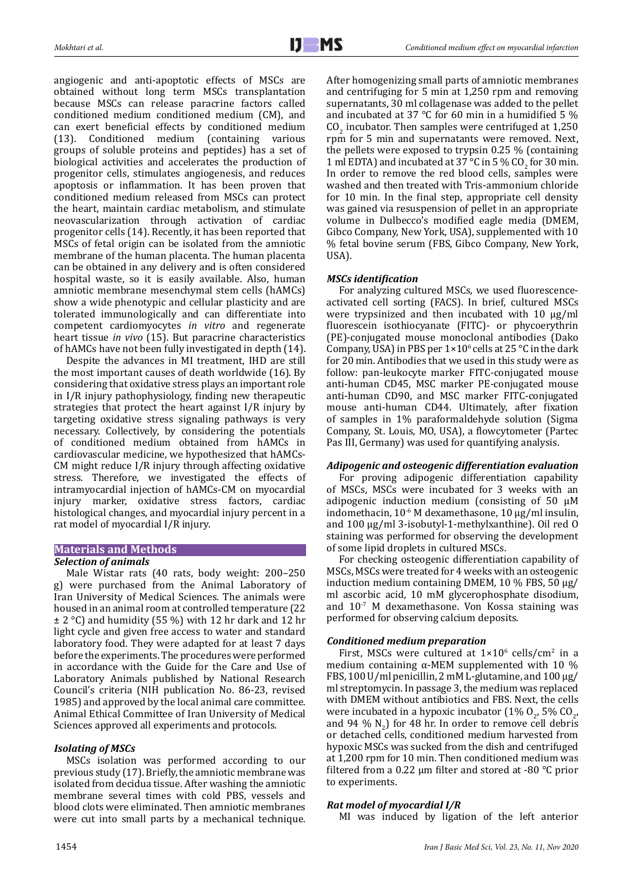angiogenic and anti-apoptotic effects of MSCs are obtained without long term MSCs transplantation because MSCs can release paracrine factors called conditioned medium conditioned medium (CM), and can exert beneficial effects by conditioned medium<br>(13). Conditioned medium (containing various (13). Conditioned medium (containing various groups of soluble proteins and peptides) has a set of biological activities and accelerates the production of progenitor cells, stimulates angiogenesis, and reduces apoptosis or inflammation. It has been proven that conditioned medium released from MSCs can protect the heart, maintain cardiac metabolism, and stimulate neovascularization through activation of cardiac progenitor cells (14). Recently, it has been reported that MSCs of fetal origin can be isolated from the amniotic membrane of the human placenta. The human placenta can be obtained in any delivery and is often considered hospital waste, so it is easily available. Also, human amniotic membrane mesenchymal stem cells (hAMCs) show a wide phenotypic and cellular plasticity and are tolerated immunologically and can differentiate into competent cardiomyocytes *in vitro* and regenerate heart tissue *in vivo* (15). But paracrine characteristics of hAMCs have not been fully investigated in depth (14).

Despite the advances in MI treatment, IHD are still the most important causes of death worldwide (16). By considering that oxidative stress plays an important role in I/R injury pathophysiology, finding new therapeutic strategies that protect the heart against I/R injury by targeting oxidative stress signaling pathways is very necessary. Collectively, by considering the potentials of conditioned medium obtained from hAMCs in cardiovascular medicine, we hypothesized that hAMCs-CM might reduce I/R injury through affecting oxidative stress. Therefore, we investigated the effects of intramyocardial injection of hAMCs-CM on myocardial injury marker, oxidative stress factors, cardiac histological changes, and myocardial injury percent in a rat model of myocardial I/R injury.

# **Materials and Methods**

# *Selection of animals*

Male Wistar rats (40 rats, body weight: 200–250 g) were purchased from the Animal Laboratory of Iran University of Medical Sciences. The animals were housed in an animal room at controlled temperature (22  $\pm$  2 °C) and humidity (55 %) with 12 hr dark and 12 hr light cycle and given free access to water and standard laboratory food. They were adapted for at least 7 days before the experiments. The procedures were performed in accordance with the Guide for the Care and Use of Laboratory Animals published by National Research Council's criteria (NIH publication No. 86-23, revised 1985) and approved by the local animal care committee. Animal Ethical Committee of Iran University of Medical Sciences approved all experiments and protocols.

# *Isolating of MSCs*

MSCs isolation was performed according to our previous study (17). Briefly, the amniotic membrane was isolated from decidua tissue. After washing the amniotic membrane several times with cold PBS, vessels and blood clots were eliminated. Then amniotic membranes were cut into small parts by a mechanical technique. After homogenizing small parts of amniotic membranes and centrifuging for 5 min at 1,250 rpm and removing supernatants, 30 ml collagenase was added to the pellet and incubated at 37 °C for 60 min in a humidified 5 %  $\rm CO_{2}$  incubator. Then samples were centrifuged at 1,250 rpm for 5 min and supernatants were removed. Next, the pellets were exposed to trypsin 0.25 % (containing 1 ml EDTA) and incubated at 37 °C in 5 % CO<sub>2</sub> for 30 min. In order to remove the red blood cells, samples were washed and then treated with Tris-ammonium chloride for 10 min. In the final step, appropriate cell density was gained via resuspension of pellet in an appropriate volume in Dulbecco's modified eagle media (DMEM, Gibco Company, New York, USA), supplemented with 10 % fetal bovine serum (FBS, Gibco Company, New York, USA).

# *MSCs identification*

For analyzing cultured MSCs, we used fluorescenceactivated cell sorting (FACS). In brief, cultured MSCs were trypsinized and then incubated with 10 µg/ml fluorescein isothiocyanate (FITC)- or phycoerythrin (PE)-conjugated mouse monoclonal antibodies (Dako Company, USA) in PBS per  $1 \times 10^6$  cells at 25 °C in the dark for 20 min. Antibodies that we used in this study were as follow: pan-leukocyte marker FITC-conjugated mouse anti-human CD45, MSC marker PE-conjugated mouse anti-human CD90, and MSC marker FITC-conjugated mouse anti-human CD44. Ultimately, after fixation of samples in 1% paraformaldehyde solution (Sigma Company, St. Louis, MO, USA), a flowcytometer (Partec Pas III, Germany) was used for quantifying analysis.

# *Adipogenic and osteogenic differentiation evaluation*

For proving adipogenic differentiation capability of MSCs, MSCs were incubated for 3 weeks with an adipogenic induction medium (consisting of 50 µM indomethacin, 10-6 M dexamethasone, 10 µg/ml insulin, and 100 µg/ml 3-isobutyl-1-methylxanthine). Oil red O staining was performed for observing the development of some lipid droplets in cultured MSCs.

For checking osteogenic differentiation capability of MSCs, MSCs were treated for 4 weeks with an osteogenic induction medium containing DMEM, 10 % FBS, 50 µg/ ml ascorbic acid, 10 mM glycerophosphate disodium, and 10-7 M dexamethasone. Von Kossa staining was performed for observing calcium deposits.

# *Conditioned medium preparation*

First, MSCs were cultured at  $1\times10^6$  cells/cm<sup>2</sup> in a medium containing  $α$ -MEM supplemented with 10 % FBS, 100 U/ml penicillin, 2 mM L-glutamine, and 100  $\mu$ g/ ml streptomycin. In passage 3, the medium was replaced with DMEM without antibiotics and FBS. Next, the cells were incubated in a hypoxic incubator  $(1\% 0_{2}, 5\% 0.0_{2}, ...)$ and 94  $\%$  N<sub>2</sub>) for 48 hr. In order to remove cell debris or detached cells, conditioned medium harvested from hypoxic MSCs was sucked from the dish and centrifuged at 1,200 rpm for 10 min. Then conditioned medium was filtered from a 0.22  $\mu$ m filter and stored at -80 °C prior to experiments.

# *Rat model of myocardial I/R*

MI was induced by ligation of the left anterior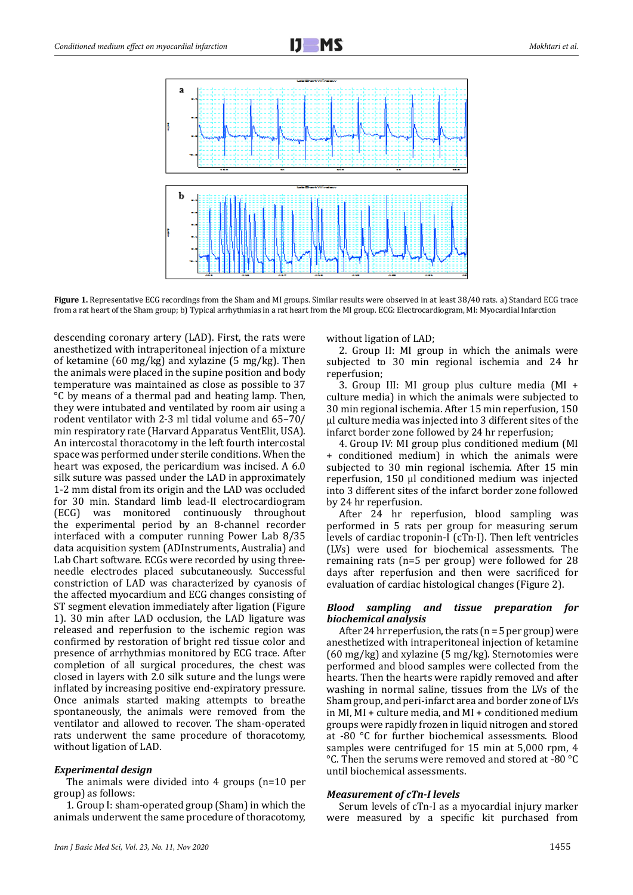Figure 1. Representative ECG recordings from the Sham and MI groups. Similar results were observed in at least 38/40 rats. a) Standard ECG trace from a rat heart of the Sham group; b) Typical arrhythmias in a rat heart from the MI group. ECG: Electrocardiogram, MI: Myocardial Infarction

descending coronary artery (LAD). First, the rats were anesthetized with intraperitoneal injection of a mixture of ketamine (60 mg/kg) and xylazine (5 mg/kg). Then the animals were placed in the supine position and body temperature was maintained as close as possible to 37 °C by means of a thermal pad and heating lamp. Then, they were intubated and ventilated by room air using a rodent ventilator with 2-3 ml tidal volume and 65–70/ min respiratory rate (Harvard Apparatus VentElit, USA). An intercostal thoracotomy in the left fourth intercostal space was performed under sterile conditions. When the heart was exposed, the pericardium was incised. A 6.0 silk suture was passed under the LAD in approximately 1-2 mm distal from its origin and the LAD was occluded for 30 min. Standard limb lead-II electrocardiogram (ECG) was monitored continuously throughout the experimental period by an 8-channel recorder interfaced with a computer running Power Lab 8/35 data acquisition system (ADInstruments, Australia) and Lab Chart software. ECGs were recorded by using threeneedle electrodes placed subcutaneously. Successful constriction of LAD was characterized by cyanosis of the affected myocardium and ECG changes consisting of ST segment elevation immediately after ligation (Figure 1). 30 min after LAD occlusion, the LAD ligature was released and reperfusion to the ischemic region was confirmed by restoration of bright red tissue color and presence of arrhythmias monitored by ECG trace. After completion of all surgical procedures, the chest was closed in layers with 2.0 silk suture and the lungs were inflated by increasing positive end-expiratory pressure. Once animals started making attempts to breathe spontaneously, the animals were removed from the ventilator and allowed to recover. The sham-operated rats underwent the same procedure of thoracotomy, without ligation of LAD.

## *Experimental design*

The animals were divided into 4 groups (n=10 per group) as follows:

1. Group I: sham-operated group (Sham) in which the animals underwent the same procedure of thoracotomy,

without ligation of LAD;

2. Group II: MI group in which the animals were subjected to 30 min regional ischemia and 24 hr reperfusion;

3. Group III: MI group plus culture media (MI + culture media) in which the animals were subjected to 30 min regional ischemia. After 15 min reperfusion, 150 µl culture media was injected into 3 different sites of the infarct border zone followed by 24 hr reperfusion;

4. Group IV: MI group plus conditioned medium (MI + conditioned medium) in which the animals were subjected to 30 min regional ischemia. After 15 min reperfusion, 150 µl conditioned medium was injected into 3 different sites of the infarct border zone followed by 24 hr reperfusion.

After 24 hr reperfusion, blood sampling was performed in 5 rats per group for measuring serum levels of cardiac troponin-I (cTn-I). Then left ventricles (LVs) were used for biochemical assessments. The remaining rats (n=5 per group) were followed for 28 days after reperfusion and then were sacrificed for evaluation of cardiac histological changes (Figure 2).

## *Blood sampling and tissue preparation for biochemical analysis*

After 24 hr reperfusion, the rats ( $n = 5$  per group) were anesthetized with intraperitoneal injection of ketamine (60 mg/kg) and xylazine (5 mg/kg). Sternotomies were performed and blood samples were collected from the hearts. Then the hearts were rapidly removed and after washing in normal saline, tissues from the LVs of the Sham group, and peri-infarct area and border zone of LVs in MI, MI + culture media, and MI + conditioned medium groups were rapidly frozen in liquid nitrogen and stored at -80 °C for further biochemical assessments. Blood samples were centrifuged for 15 min at 5,000 rpm, 4 °C. Then the serums were removed and stored at -80 °C until biochemical assessments.

#### *Measurement of cTn-I levels*

Serum levels of cTn-I as a myocardial injury marker were measured by a specific kit purchased from

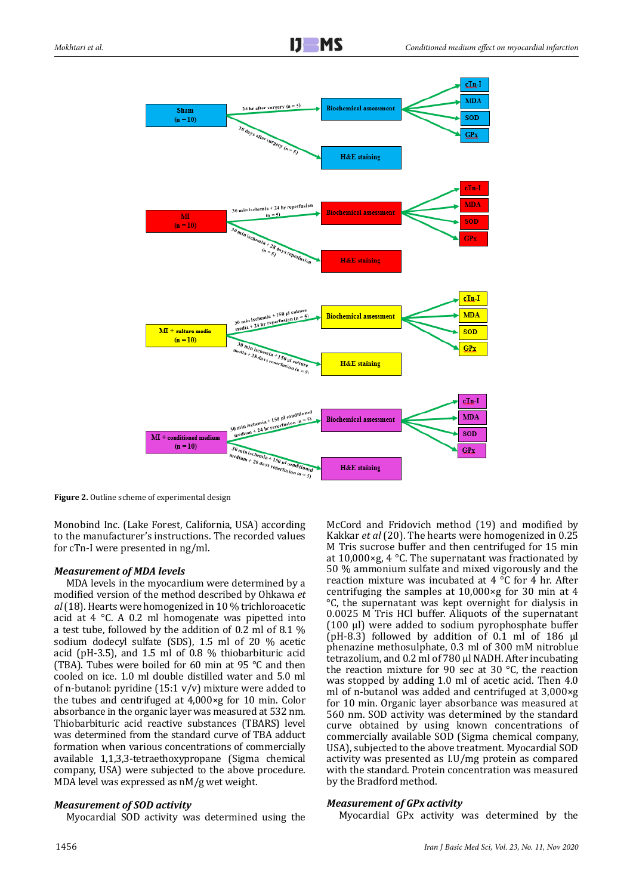

**Figure 2.** Outline scheme of experimental design

Monobind Inc. (Lake Forest, California, USA) according to the manufacturer's instructions. The recorded values for cTn-I were presented in ng/ml.

# *Measurement of MDA levels*

MDA levels in the myocardium were determined by a modified version of the method described by Ohkawa *et al* (18). Hearts were homogenized in 10 % trichloroacetic acid at 4 °C. A 0.2 ml homogenate was pipetted into a test tube, followed by the addition of 0.2 ml of 8.1 % sodium dodecyl sulfate (SDS), 1.5 ml of 20 % acetic acid (pH-3.5), and 1.5 ml of 0.8 % thiobarbituric acid (TBA). Tubes were boiled for 60 min at 95 °C and then cooled on ice. 1.0 ml double distilled water and 5.0 ml of n-butanol: pyridine  $(15:1 \text{ v/v})$  mixture were added to the tubes and centrifuged at 4,000×g for 10 min. Color absorbance in the organic layer was measured at 532 nm. Thiobarbituric acid reactive substances (TBARS) level was determined from the standard curve of TBA adduct formation when various concentrations of commercially available 1,1,3,3-tetraethoxypropane (Sigma chemical company, USA) were subjected to the above procedure. MDA level was expressed as nM/g wet weight.

# *Measurement of SOD activity*

Myocardial SOD activity was determined using the

McCord and Fridovich method (19) and modified by Kakkar *et al* (20). The hearts were homogenized in 0.25 M Tris sucrose buffer and then centrifuged for 15 min at 10,000×g, 4 °C. The supernatant was fractionated by 50 % ammonium sulfate and mixed vigorously and the reaction mixture was incubated at 4 °C for 4 hr. After centrifuging the samples at 10,000×g for 30 min at 4 °C, the supernatant was kept overnight for dialysis in 0.0025 M Tris HCl buffer. Aliquots of the supernatant (100 µl) were added to sodium pyrophosphate buffer  $(pH-8.3)$  followed by addition of 0.1 ml of 186  $\mu$ l phenazine methosulphate, 0.3 ml of 300 mM nitroblue tetrazolium, and 0.2 ml of 780 µl NADH. After incubating the reaction mixture for 90 sec at 30 °C, the reaction was stopped by adding 1.0 ml of acetic acid. Then 4.0 ml of n-butanol was added and centrifuged at 3,000×g for 10 min. Organic layer absorbance was measured at 560 nm. SOD activity was determined by the standard curve obtained by using known concentrations of commercially available SOD (Sigma chemical company, USA), subjected to the above treatment. Myocardial SOD activity was presented as I.U/mg protein as compared with the standard. Protein concentration was measured by the Bradford method.

# *Measurement of GPx activity*

Myocardial GPx activity was determined by the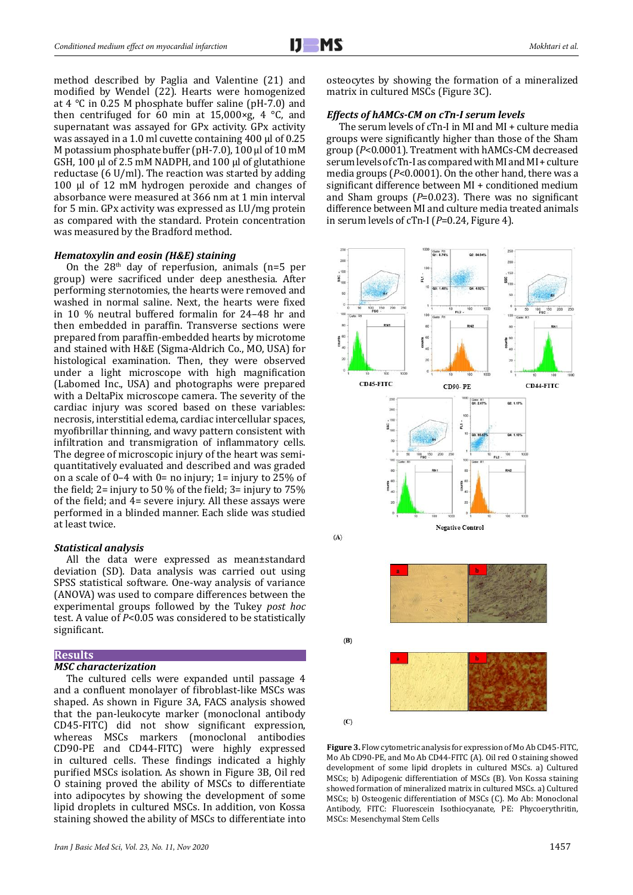method described by Paglia and Valentine (21) and modified by Wendel (22). Hearts were homogenized at 4 °C in 0.25 M phosphate buffer saline (pH-7.0) and then centrifuged for 60 min at  $15,000 \times g$ , 4 °C, and supernatant was assayed for GPx activity. GPx activity was assayed in a 1.0 ml cuvette containing 400 μl of 0.25 M potassium phosphate buffer (pH-7.0), 100 μl of 10 mM GSH, 100 μl of 2.5 mM NADPH, and 100 μl of glutathione reductase (6 U/ml). The reaction was started by adding 100 μl of 12 mM hydrogen peroxide and changes of absorbance were measured at 366 nm at 1 min interval for 5 min. GPx activity was expressed as I.U/mg protein as compared with the standard. Protein concentration was measured by the Bradford method.

## *Hematoxylin and eosin (H&E) staining*

On the  $28<sup>th</sup>$  day of reperfusion, animals (n=5 per group) were sacrificed under deep anesthesia. After performing sternotomies, the hearts were removed and washed in normal saline. Next, the hearts were fixed in 10 % neutral buffered formalin for 24–48 hr and then embedded in paraffin. Transverse sections were prepared from paraffin-embedded hearts by microtome and stained with H&E (Sigma-Aldrich Co., MO, USA) for histological examination. Then, they were observed under a light microscope with high magnification (Labomed Inc., USA) and photographs were prepared with a DeltaPix microscope camera. The severity of the cardiac injury was scored based on these variables: necrosis, interstitial edema, cardiac intercellular spaces, myofibrillar thinning, and wavy pattern consistent with infiltration and transmigration of inflammatory cells. The degree of microscopic injury of the heart was semiquantitatively evaluated and described and was graded on a scale of  $0-4$  with  $0=$  no injury;  $1=$  injury to 25% of the field; 2= injury to 50 % of the field; 3= injury to 75% of the field; and 4= severe injury. All these assays were performed in a blinded manner. Each slide was studied at least twice.

#### *Statistical analysis*

All the data were expressed as mean±standard deviation (SD). Data analysis was carried out using SPSS statistical software. One-way analysis of variance (ANOVA) was used to compare differences between the experimental groups followed by the Tukey *post hoc* test. A value of *P*<0.05 was considered to be statistically significant.

## **Results**

# *MSC characterization*

The cultured cells were expanded until passage 4 and a confluent monolayer of fibroblast-like MSCs was shaped. As shown in Figure 3A, FACS analysis showed that the pan-leukocyte marker (monoclonal antibody CD45-FITC) did not show significant expression, whereas MSCs markers (monoclonal antibodies CD90-PE and CD44-FITC) were highly expressed in cultured cells. These findings indicated a highly purified MSCs isolation. As shown in Figure 3B, Oil red O staining proved the ability of MSCs to differentiate into adipocytes by showing the development of some lipid droplets in cultured MSCs. In addition, von Kossa staining showed the ability of MSCs to differentiate into

osteocytes by showing the formation of a mineralized matrix in cultured MSCs (Figure 3C).

#### *Effects of hAMCs-CM on cTn-I serum levels*

The serum levels of cTn-I in MI and MI + culture media groups were significantly higher than those of the Sham group (*P*<0.0001). Treatment with hAMCs-CM decreased serum levels of cTn-I as compared with MI and MI + culture media groups (*P*<0.0001). On the other hand, there was a significant difference between MI + conditioned medium and Sham groups (*P*=0.023). There was no significant difference between MI and culture media treated animals in serum levels of cTn-I (*P*=0.24, Figure 4).



**Figure 3.** Flow cytometric analysis for expression of Mo Ab CD45-FITC, Mo Ab CD90-PE, and Mo Ab CD44-FITC (A). Oil red O staining showed development of some lipid droplets in cultured MSCs. a) Cultured MSCs; b) Adipogenic differentiation of MSCs (B). Von Kossa staining showed formation of mineralized matrix in cultured MSCs. a) Cultured MSCs; b) Osteogenic differentiation of MSCs (C). Mo Ab: Monoclonal Antibody, FITC: Fluorescein Isothiocyanate, PE: Phycoerythritin, MSCs: Mesenchymal Stem Cells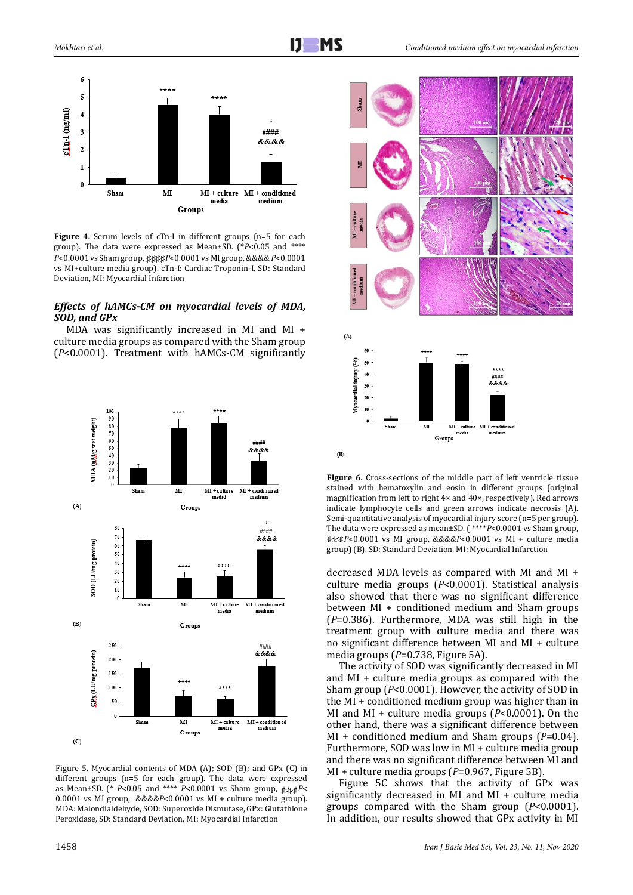

**Figure 4.** Serum levels of cTn-I in different groups (n=5 for each group). The data were expressed as Mean±SD. (\**P*<0.05 and \*\*\*\* *P*<0.0001 vs Sham group, *P*<0.0001 vs MI group, &&&& *P*<0.0001 vs MI+culture media group). cTn-I: Cardiac Troponin-I, SD: Standard Deviation, MI: Myocardial Infarction

# *Effects of hAMCs-CM on myocardial levels of MDA, SOD, and GPx*

MDA was significantly increased in MI and MI + culture media groups as compared with the Sham group (*P*<0.0001). Treatment with hAMCs-CM significantly



Figure 5. Myocardial contents of MDA (A); SOD (B); and GPx (C) in different groups (n=5 for each group). The data were expressed as Mean±SD. (\*  $P$ <0.05 and \*\*\*\*  $P$ <0.0001 vs Sham group,  $\mu$ 0.0001 vs MI group, &&&&*P*<0.0001 vs MI + culture media group). MDA: Malondialdehyde, SOD: Superoxide Dismutase, GPx: Glutathione Peroxidase, SD: Standard Deviation, MI: Myocardial Infarction



Figure 6. Cross-sections of the middle part of left ventricle tissue stained with hematoxylin and eosin in different groups (original magnification from left to right 4× and 40×, respectively). Red arrows indicate lymphocyte cells and green arrows indicate necrosis (A). Semi-quantitative analysis of myocardial injury score (n=5 per group). The data were expressed as mean±SD. (\*\*\*\**P*<0.0001 vs Sham group, ####P<0.0001 vs MI group, &&&&P<0.0001 vs MI + culture media group) (B). SD: Standard Deviation, MI: Myocardial Infarction

decreased MDA levels as compared with MI and MI + culture media groups (*P*<0.0001). Statistical analysis also showed that there was no significant difference between MI + conditioned medium and Sham groups (*P*=0.386). Furthermore, MDA was still high in the treatment group with culture media and there was no significant difference between MI and MI + culture media groups (*P*=0.738, Figure 5A).

The activity of SOD was significantly decreased in MI and MI + culture media groups as compared with the Sham group (*P*<0.0001). However, the activity of SOD in the MI + conditioned medium group was higher than in MI and MI + culture media groups (*P*<0.0001). On the other hand, there was a significant difference between MI + conditioned medium and Sham groups (*P*=0.04). Furthermore, SOD was low in MI + culture media group and there was no significant difference between MI and MI + culture media groups (*P*=0.967, Figure 5B).

Figure 5C shows that the activity of GPx was significantly decreased in MI and MI + culture media groups compared with the Sham group (*P*<0.0001). In addition, our results showed that GPx activity in MI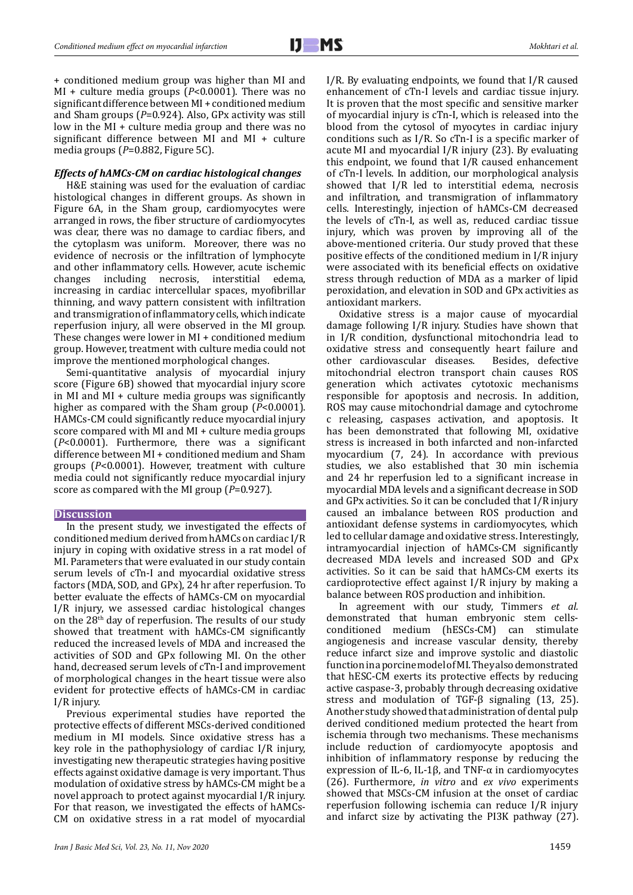+ conditioned medium group was higher than MI and MI + culture media groups (*P*<0.0001). There was no significant difference between MI + conditioned medium and Sham groups (*P*=0.924). Also, GPx activity was still low in the MI + culture media group and there was no significant difference between MI and MI + culture media groups (*P*=0.882, Figure 5C).

## *Effects of hAMCs-CM on cardiac histological changes*

H&E staining was used for the evaluation of cardiac histological changes in different groups. As shown in Figure 6A, in the Sham group, cardiomyocytes were arranged in rows, the fiber structure of cardiomyocytes was clear, there was no damage to cardiac fibers, and the cytoplasm was uniform. Moreover, there was no evidence of necrosis or the infiltration of lymphocyte and other inflammatory cells. However, acute ischemic changes including necrosis, interstitial increasing in cardiac intercellular spaces, myofibrillar thinning, and wavy pattern consistent with infiltration and transmigration of inflammatory cells, which indicate reperfusion injury, all were observed in the MI group. These changes were lower in MI + conditioned medium group. However, treatment with culture media could not improve the mentioned morphological changes.

Semi-quantitative analysis of myocardial injury score (Figure 6B) showed that myocardial injury score in MI and MI + culture media groups was significantly higher as compared with the Sham group (*P*<0.0001). HAMCs-CM could significantly reduce myocardial injury score compared with MI and MI + culture media groups (*P*<0.0001). Furthermore, there was a significant difference between MI + conditioned medium and Sham groups (*P*<0.0001). However, treatment with culture media could not significantly reduce myocardial injury score as compared with the MI group (*P*=0.927).

#### **Discussion**

In the present study, we investigated the effects of conditioned medium derived from hAMCs on cardiac I/R injury in coping with oxidative stress in a rat model of MI. Parameters that were evaluated in our study contain serum levels of cTn-I and myocardial oxidative stress factors (MDA, SOD, and GPx), 24 hr after reperfusion. To better evaluate the effects of hAMCs-CM on myocardial I/R injury, we assessed cardiac histological changes on the 28th day of reperfusion. The results of our study showed that treatment with hAMCs-CM significantly reduced the increased levels of MDA and increased the activities of SOD and GPx following MI. On the other hand, decreased serum levels of cTn-I and improvement of morphological changes in the heart tissue were also evident for protective effects of hAMCs-CM in cardiac I/R injury.

Previous experimental studies have reported the protective effects of different MSCs-derived conditioned medium in MI models. Since oxidative stress has a key role in the pathophysiology of cardiac I/R injury, investigating new therapeutic strategies having positive effects against oxidative damage is very important. Thus modulation of oxidative stress by hAMCs-CM might be a novel approach to protect against myocardial I/R injury. For that reason, we investigated the effects of hAMCs-CM on oxidative stress in a rat model of myocardial I/R. By evaluating endpoints, we found that I/R caused enhancement of cTn-I levels and cardiac tissue injury. It is proven that the most specific and sensitive marker of myocardial injury is cTn-I, which is released into the blood from the cytosol of myocytes in cardiac injury conditions such as I/R. So cTn-I is a specific marker of acute MI and myocardial I/R injury (23). By evaluating this endpoint, we found that I/R caused enhancement of cTn-I levels. In addition, our morphological analysis showed that I/R led to interstitial edema, necrosis and infiltration, and transmigration of inflammatory cells. Interestingly, injection of hAMCs-CM decreased the levels of cTn-I, as well as, reduced cardiac tissue injury, which was proven by improving all of the above-mentioned criteria. Our study proved that these positive effects of the conditioned medium in I/R injury were associated with its beneficial effects on oxidative stress through reduction of MDA as a marker of lipid peroxidation, and elevation in SOD and GPx activities as antioxidant markers.

Oxidative stress is a major cause of myocardial damage following I/R injury. Studies have shown that in I/R condition, dysfunctional mitochondria lead to oxidative stress and consequently heart failure and other cardiovascular diseases. Besides, defective other cardiovascular diseases. mitochondrial electron transport chain causes ROS generation which activates cytotoxic mechanisms responsible for apoptosis and necrosis. In addition, ROS may cause mitochondrial damage and cytochrome c releasing, caspases activation, and apoptosis. It has been demonstrated that following MI, oxidative stress is increased in both infarcted and non-infarcted myocardium (7, 24). In accordance with previous studies, we also established that 30 min ischemia and 24 hr reperfusion led to a significant increase in myocardial MDA levels and a significant decrease in SOD and GPx activities. So it can be concluded that I/R injury caused an imbalance between ROS production and antioxidant defense systems in cardiomyocytes, which led to cellular damage and oxidative stress. Interestingly, intramyocardial injection of hAMCs-CM significantly decreased MDA levels and increased SOD and GPx activities. So it can be said that hAMCs-CM exerts its cardioprotective effect against I/R injury by making a balance between ROS production and inhibition.

In agreement with our study, Timmers *et al.*  demonstrated that human embryonic stem cellsconditioned medium (hESCs-CM) can stimulate angiogenesis and increase vascular density, thereby reduce infarct size and improve systolic and diastolic function in a porcine model of MI. They also demonstrated that hESC-CM exerts its protective effects by reducing active caspase-3, probably through decreasing oxidative stress and modulation of TGF-β signaling (13, 25). Another study showed that administration of dental pulp derived conditioned medium protected the heart from ischemia through two mechanisms. These mechanisms include reduction of cardiomyocyte apoptosis and inhibition of inflammatory response by reducing the expression of IL-6, IL-1β, and TNF- $\alpha$  in cardiomyocytes (26). Furthermore, *in vitro* and *ex vivo* experiments showed that MSCs-CM infusion at the onset of cardiac reperfusion following ischemia can reduce I/R injury and infarct size by activating the PI3K pathway (27).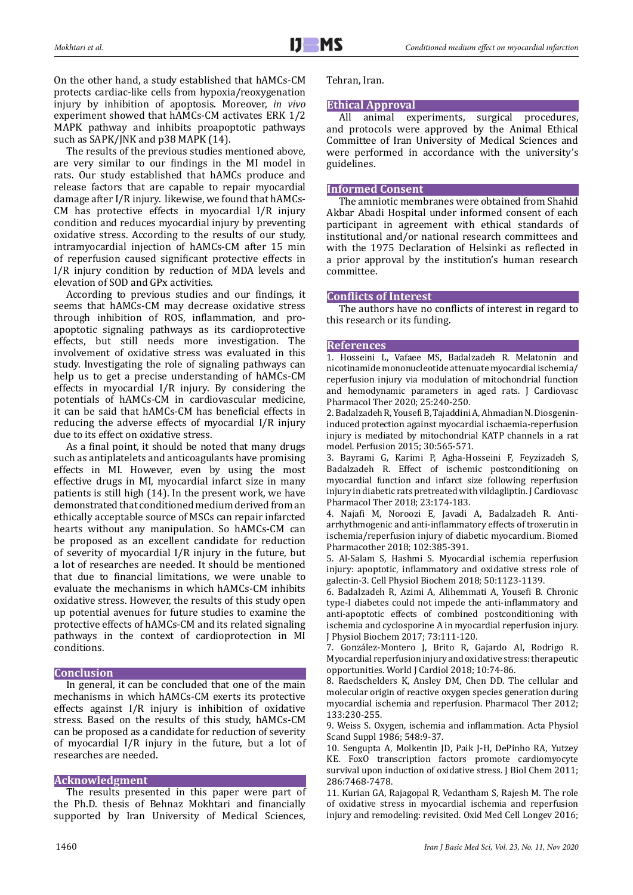On the other hand, a study established that hAMCs-CM protects cardiac-like cells from hypoxia/reoxygenation injury by inhibition of apoptosis. Moreover, *in vivo* experiment showed that hAMCs-CM activates ERK 1/2 MAPK pathway and inhibits proapoptotic pathways such as SAPK/JNK and p38 MAPK (14).

The results of the previous studies mentioned above, are very similar to our findings in the MI model in rats. Our study established that hAMCs produce and release factors that are capable to repair myocardial damage after I/R injury. likewise, we found that hAMCs-CM has protective effects in myocardial I/R injury condition and reduces myocardial injury by preventing oxidative stress. According to the results of our study, intramyocardial injection of hAMCs-CM after 15 min of reperfusion caused significant protective effects in I/R injury condition by reduction of MDA levels and elevation of SOD and GPx activities.

According to previous studies and our findings, it seems that hAMCs-CM may decrease oxidative stress through inhibition of ROS, inflammation, and proapoptotic signaling pathways as its cardioprotective effects, but still needs more investigation. The involvement of oxidative stress was evaluated in this study. Investigating the role of signaling pathways can help us to get a precise understanding of hAMCs-CM effects in myocardial I/R injury. By considering the potentials of hAMCs-CM in cardiovascular medicine, it can be said that hAMCs-CM has beneficial effects in reducing the adverse effects of myocardial I/R injury due to its effect on oxidative stress.

As a final point, it should be noted that many drugs such as antiplatelets and anticoagulants have promising effects in MI. However, even by using the most effective drugs in MI, myocardial infarct size in many patients is still high (14). In the present work, we have demonstrated that conditioned medium derived from an ethically acceptable source of MSCs can repair infarcted hearts without any manipulation. So hAMCs-CM can be proposed as an excellent candidate for reduction of severity of myocardial I/R injury in the future, but a lot of researches are needed. It should be mentioned that due to financial limitations, we were unable to evaluate the mechanisms in which hAMCs-CM inhibits oxidative stress. However, the results of this study open up potential avenues for future studies to examine the protective effects of hAMCs-CM and its related signaling pathways in the context of cardioprotection in MI conditions.

# **Conclusion**

In general, it can be concluded that one of the main mechanisms in which hAMCs-CM exerts its protective effects against I/R injury is inhibition of oxidative stress. Based on the results of this study, hAMCs-CM can be proposed as a candidate for reduction of severity of myocardial I/R injury in the future, but a lot of researches are needed.

# **Acknowledgment**

The results presented in this paper were part of the Ph.D. thesis of Behnaz Mokhtari and financially supported by Iran University of Medical Sciences, Tehran, Iran.

# **Ethical Approval**

All animal experiments, surgical procedures, and protocols were approved by the Animal Ethical Committee of Iran University of Medical Sciences and were performed in accordance with the university's guidelines.

## **Informed Consent**

The amniotic membranes were obtained from Shahid Akbar Abadi Hospital under informed consent of each participant in agreement with ethical standards of institutional and/or national research committees and with the 1975 Declaration of Helsinki as reflected in a prior approval by the institution's human research committee.

# **Conflicts of Interest**

The authors have no conflicts of interest in regard to this research or its funding.

# **References**

1. Hosseini L, Vafaee MS, Badalzadeh R. Melatonin and nicotinamide mononucleotide attenuate myocardial ischemia/ reperfusion injury via modulation of mitochondrial function and hemodynamic parameters in aged rats. J Cardiovasc Pharmacol Ther 2020; 25:240-250.

2. Badalzadeh R, Yousefi B, Tajaddini A, Ahmadian N. Diosgenininduced protection against myocardial ischaemia-reperfusion injury is mediated by mitochondrial KATP channels in a rat model. Perfusion 2015; 30:565-571.

3. Bayrami G, Karimi P, Agha-Hosseini F, Feyzizadeh S, Badalzadeh R. Effect of ischemic postconditioning on myocardial function and infarct size following reperfusion injury in diabetic rats pretreated with vildagliptin. J Cardiovasc Pharmacol Ther 2018; 23:174-183.

4. Najafi M, Noroozi E, Javadi A, Badalzadeh R. Antiarrhythmogenic and anti-inflammatory effects of troxerutin in ischemia/reperfusion injury of diabetic myocardium. Biomed Pharmacother 2018; 102:385-391.

5. Al-Salam S, Hashmi S. Myocardial ischemia reperfusion injury: apoptotic, inflammatory and oxidative stress role of galectin-3. Cell Physiol Biochem 2018; 50:1123-1139.

6. Badalzadeh R, Azimi A, Alihemmati A, Yousefi B. Chronic type-I diabetes could not impede the anti-inflammatory and anti-apoptotic effects of combined postconditioning with ischemia and cyclosporine A in myocardial reperfusion injury. J Physiol Biochem 2017; 73:111-120.

7. González-Montero J, Brito R, Gajardo AI, Rodrigo R. Myocardial reperfusion injury and oxidative stress: therapeutic opportunities. World J Cardiol 2018; 10:74-86.

8. Raedschelders K, Ansley DM, Chen DD. The cellular and molecular origin of reactive oxygen species generation during myocardial ischemia and reperfusion. Pharmacol Ther 2012; 133:230-255.

9. Weiss S. Oxygen, ischemia and inflammation. Acta Physiol Scand Suppl 1986; 548:9-37.

10. Sengupta A, Molkentin JD, Paik J-H, DePinho RA, Yutzey KE. FoxO transcription factors promote cardiomyocyte survival upon induction of oxidative stress. J Biol Chem 2011; 286:7468-7478.

11. Kurian GA, Rajagopal R, Vedantham S, Rajesh M. The role of oxidative stress in myocardial ischemia and reperfusion injury and remodeling: revisited. Oxid Med Cell Longev 2016;